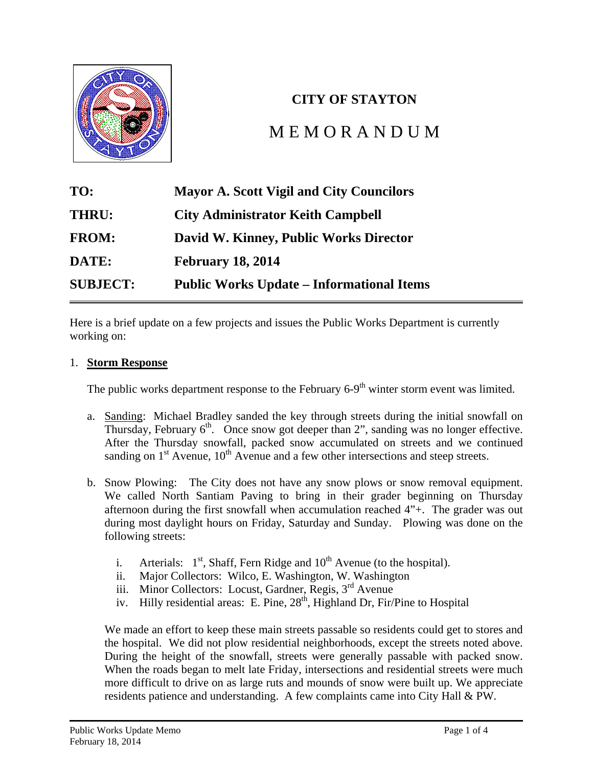#### **City of Stayton City Council Meeting Action Minutes January 21, 2014**

| LOCATION: STAYTON COMMUNITY CENTER, 400 W. VIRGINIA STREET, STAYTON                                 |                                               |                                                                                                                     |                                                   |
|-----------------------------------------------------------------------------------------------------|-----------------------------------------------|---------------------------------------------------------------------------------------------------------------------|---------------------------------------------------|
| Time Start: 6:48 P.M.                                                                               |                                               |                                                                                                                     | Time End: 8:08 P.M.                               |
|                                                                                                     | <b>WORK SESSION</b>                           |                                                                                                                     |                                                   |
|                                                                                                     | <b>COUNCIL</b>                                |                                                                                                                     | <b>STAFF</b>                                      |
|                                                                                                     | Mayor Scott Vigil (excused)                   |                                                                                                                     | Alissa Angelo, Deputy City Recorder               |
|                                                                                                     | <b>Councilor Emily Gooch</b>                  |                                                                                                                     | Christine Shaffer, Finance Director               |
|                                                                                                     | <b>Councilor Catherine Hemshorn (excused)</b> |                                                                                                                     | David Rhoten, City Attorney                       |
|                                                                                                     | Councilor Jennifer Niegel (excused)           |                                                                                                                     |                                                   |
|                                                                                                     | <b>Councilor Henry Porter</b>                 |                                                                                                                     |                                                   |
|                                                                                                     | <b>Councilor Brian Quigley</b>                |                                                                                                                     |                                                   |
|                                                                                                     |                                               |                                                                                                                     | <b>COUNCIL MEETING ATTENDANCE LOG</b>             |
|                                                                                                     | <b>COUNCIL</b>                                |                                                                                                                     | <b>STAFF</b>                                      |
|                                                                                                     | Mayor Scott Vigil (excused)                   |                                                                                                                     | Alissa Angelo, Deputy City Recorder               |
|                                                                                                     | <b>Councilor Emily Gooch</b>                  |                                                                                                                     | Dan Fleishman, Director of Planning & Development |
|                                                                                                     | <b>Councilor Catherine Hemshorn (excused)</b> |                                                                                                                     | David Kinney, Public Works Director               |
|                                                                                                     | <b>Councilor Jennifer Niegel</b>              |                                                                                                                     | Louise Meyers, Library Director                   |
|                                                                                                     | <b>Councilor Henry Porter</b>                 |                                                                                                                     | Rich Sebens, Police Chief                         |
|                                                                                                     | <b>Councilor Brian Quigley</b>                |                                                                                                                     | Christine Shaffer, Finance Director               |
| David Rhoten, City Attorney                                                                         |                                               |                                                                                                                     |                                                   |
|                                                                                                     |                                               |                                                                                                                     |                                                   |
| <b>AGENDA</b>                                                                                       |                                               | <b>ACTIONS</b>                                                                                                      |                                                   |
|                                                                                                     | <b>WORK SESSION (6:48 P.M. TO 6:59 P.M.)</b>  |                                                                                                                     |                                                   |
| <b>Municipal Court Judge Interview Questions</b><br>questions.                                      |                                               | Discussion and review of Municipal Court Judge                                                                      |                                                   |
|                                                                                                     | REGULAR MEETING (7:00 P.M. TO 7:40 P.M.)      |                                                                                                                     |                                                   |
| Presentations / Comments from the Public<br>Steve Frank, 1515 E. Jefferson Street<br>Hall meetings. |                                               | Spoke about Storm Water Utility Fee and proposed<br>annexations. Encouraged the Council to hold Town                |                                                   |
| <b>Announcements</b><br><b>Additions to the Agenda</b><br>а.                                        |                                               | <b>None</b>                                                                                                         |                                                   |
| Declaration of Ex Parte Contacts, Conflict of Interest, Bias, etc.<br>b.                            |                                               | Councilor Gooch was contacted by a potential<br>medical marijuana business owner.                                   |                                                   |
| <b>Consent Agenda</b><br>January 6, 2014 City Council Meeting Minutes<br>а.                         |                                               | Motion from Councilor Quigley, seconded by<br>Councilor Gooch, to approve the consent agenda.<br>Motion passed 4:0. |                                                   |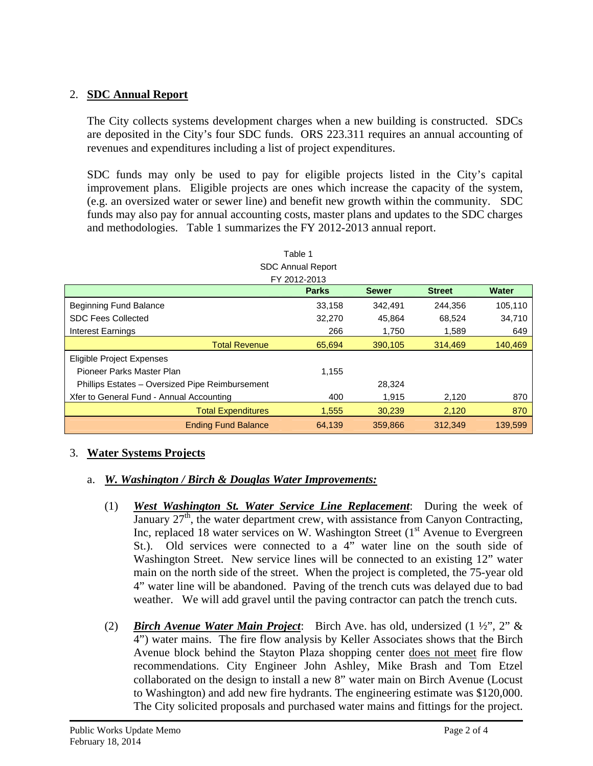| <b>Public Hearing</b>      |                                                                                                                                                        |                                                                                                                                                                                     |  |
|----------------------------|--------------------------------------------------------------------------------------------------------------------------------------------------------|-------------------------------------------------------------------------------------------------------------------------------------------------------------------------------------|--|
| a.                         | <b>Commencement of Public Hearing</b>                                                                                                                  | 7:07 p.m.                                                                                                                                                                           |  |
| b.                         | Staff Report - Dan Fleishman                                                                                                                           | Mr. Fleishman reviewed the staff report included<br>in the Council packet.                                                                                                          |  |
| C.<br>d.<br>е.<br>f.<br>g. | <b>Questions from Council</b><br><b>Proponents Testimony</b><br><b>Opponents Testimony</b><br><b>General Testimony</b><br><b>Questions from Public</b> | <b>None</b><br><b>None</b><br><b>None</b><br><b>None</b><br><b>None</b>                                                                                                             |  |
| h.                         | <b>Questions from Council</b>                                                                                                                          | Councilor Niegel asked if staff received any<br>questions from the public about the proposed<br>annexations. Staff dealt with a handful of inquiries.                               |  |
| i.<br>j.<br>k.             | <b>Staff Summary</b><br><b>Close of Hearing</b><br><b>Council Deliberation</b>                                                                         | <b>None</b><br>7:20 p.m.<br><b>None</b>                                                                                                                                             |  |
| I.                         | Council Decision on Ordinance No. 965                                                                                                                  | Motion from Councilor Gooch, seconded by<br>Councilor Niegel, to adopt Ordinance No. 965 as<br>presented. Motion passed 4:0.                                                        |  |
| m <sub>1</sub>             | Council Decision on Resolution No. 909                                                                                                                 | Motion from Councilor Niegel, seconded by<br>Councilor Gooch, to adopt Resolution No. 909 as<br>presented. Motion passed 4:0.                                                       |  |
|                            | 888<br><b>Unfinished Business</b><br>38383831<br>383838331                                                                                             | None                                                                                                                                                                                |  |
|                            | <b>New Business</b>                                                                                                                                    |                                                                                                                                                                                     |  |
| a.                         | Resolution No. 910, City Administrator Evaluation Process                                                                                              | Motion from Councilor Quigley, seconded by<br>Councilor Gooch, to adopt Resolution No. 910 as<br>presented. Motion passed 4:0.                                                      |  |
|                            | b. Ordinance No. 966, Amending SMC 5.08 and 5.12 to Regulate<br>Medical Marijuana Dispensaries within the City of Stayton                              | Motion from Councilor Gooch, seconded by<br>Councilor Quigley, to adopt Ordinance No. 966 as<br>amended to reference Medical Marijuana Facility.                                    |  |
|                            |                                                                                                                                                        | Discussion - Brief discussion of location of facility.                                                                                                                              |  |
|                            |                                                                                                                                                        | Motion passed 4:0.                                                                                                                                                                  |  |
| C.                         | Appointment of a Council Representative to the Adaptive<br><b>Management Group</b>                                                                     | Motion from Councilor Quigley, seconded by<br>Councilor Gooch, to appoint Councilor Niegel as<br>the Council Representative to the Adaptive<br>Management Group. Motion passed 4:0. |  |
|                            | <b>Staff / Commission Reports</b>                                                                                                                      |                                                                                                                                                                                     |  |
| a.                         | Finance Director's Report - Christine Shaffer                                                                                                          | None                                                                                                                                                                                |  |
| b.                         | Police Chief's Report - Rich Sebens                                                                                                                    | Brief discussion of shoplifting prevention.                                                                                                                                         |  |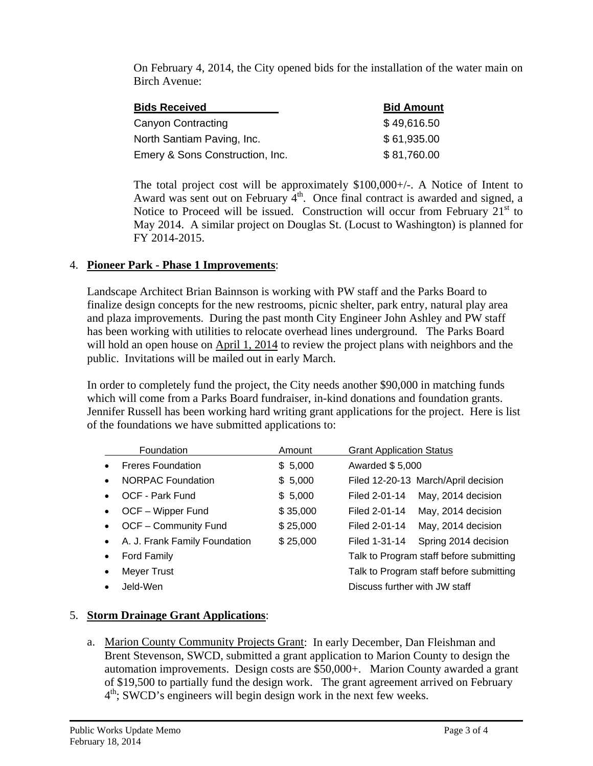| c. Public Works Director's Report - Dave Kinney                                                                                                                                                                                                  | None                                          |
|--------------------------------------------------------------------------------------------------------------------------------------------------------------------------------------------------------------------------------------------------|-----------------------------------------------|
| d. Planning & Development Director's Report - Dan Fleishman                                                                                                                                                                                      | None                                          |
| e. Library Director's Report - Louise Meyers                                                                                                                                                                                                     | Discussion of cultural passes and statistics. |
| Presentations / Comments From the Public                                                                                                                                                                                                         | <b>None</b>                                   |
| <b>Business from the City Administrator</b>                                                                                                                                                                                                      | None                                          |
| <b>Business from the Mayor</b>                                                                                                                                                                                                                   | <b>None</b>                                   |
| <b>Business from the Council</b>                                                                                                                                                                                                                 | None                                          |
| <b>Future Agenda Items</b>                                                                                                                                                                                                                       |                                               |
| a. Review of City Charter                                                                                                                                                                                                                        |                                               |
| b. Storm Water and Sanitary Sewer Utility Fee Public Hearing                                                                                                                                                                                     |                                               |
| (February 3, 2014)                                                                                                                                                                                                                               |                                               |
| APPROVED BY THE STAYTON CITY COUNCIL THIS 3 <sup>RD</sup> DAY OF FEBRUARY 2014, BY A <b>WOTE OF THE STAYTON CITY</b><br>COUNCIL.                                                                                                                 |                                               |
| By:                                                                                                                                                                                                                                              |                                               |
|                                                                                                                                                                                                                                                  | A. Scott Vigil, Mayor                         |
|                                                                                                                                                                                                                                                  |                                               |
| Attest:<br>Date:                                                                                                                                                                                                                                 | Keith Campbell, City Administrator            |
|                                                                                                                                                                                                                                                  |                                               |
| Transcribed by:<br>Date: and the state of the state of the state of the state of the state of the state of the state of the state of the state of the state of the state of the state of the state of the state of the state of the state of the |                                               |
|                                                                                                                                                                                                                                                  | Alissa Angelo, Deputy City Recorder           |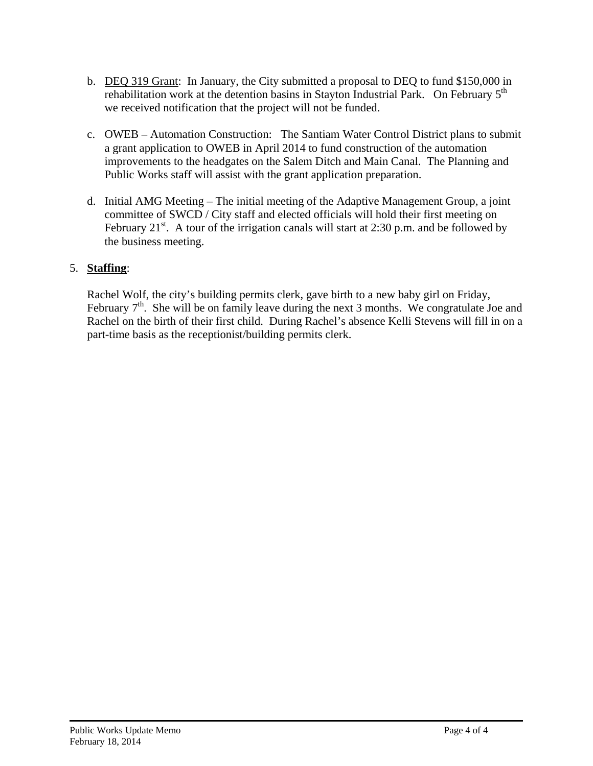#### **City of Stayton City Council Meeting Action Minutes February 3, 2014**

## **LOCATION:** STAYTON COMMUNITY CENTER, 400 W. VIRGINIA STREET, STAYTON

**Time Start:** 7:00 P.M. **Time End:** 7:56 P.M.

## **COUNCIL MEETING ATTENDANCE LOG**

|                                                                              | <b>COUNCIL</b>                                                                                     |                                                                                                                                                       | <b>STAYTON STAFF</b>                                                                                                                                          |
|------------------------------------------------------------------------------|----------------------------------------------------------------------------------------------------|-------------------------------------------------------------------------------------------------------------------------------------------------------|---------------------------------------------------------------------------------------------------------------------------------------------------------------|
|                                                                              | Mayor Scott Vigil                                                                                  | Alissa Angelo, Deputy City Recorder                                                                                                                   |                                                                                                                                                               |
|                                                                              | <b>Councilor Emily Gooch</b>                                                                       | Keith Campbell, City Administrator                                                                                                                    |                                                                                                                                                               |
|                                                                              | <b>Councilor Catherine Hemshorn</b>                                                                | Dan Fleishman, Director of Planning & Development<br>(excused)                                                                                        |                                                                                                                                                               |
|                                                                              | <b>Councilor Jennifer Niegel</b>                                                                   |                                                                                                                                                       | David Kinney, Public Works Director                                                                                                                           |
|                                                                              | <b>Councilor Henry Porter</b>                                                                      | Louise Meyers, Library Director                                                                                                                       |                                                                                                                                                               |
|                                                                              | <b>Councilor Brian Quigley</b>                                                                     | Rich Sebens, Police Chief                                                                                                                             |                                                                                                                                                               |
|                                                                              |                                                                                                    | <b>Christine Shaffer, Finance Director</b>                                                                                                            |                                                                                                                                                               |
|                                                                              |                                                                                                    | David Rhoten, City Attorney                                                                                                                           |                                                                                                                                                               |
|                                                                              |                                                                                                    |                                                                                                                                                       |                                                                                                                                                               |
|                                                                              | <b>AGENDA</b>                                                                                      |                                                                                                                                                       | <b>ACTIONS</b>                                                                                                                                                |
|                                                                              | <b>REGULAR MEETING</b>                                                                             |                                                                                                                                                       |                                                                                                                                                               |
| a.                                                                           | Presentations / Comments from the Public<br>Swearing in of New Police Officer by Chief Rich Sebens |                                                                                                                                                       | Chief Sebens swore in new Police Officer Brandon<br>RathLeGurche.                                                                                             |
| Alan Kingsley, Car Show Committee<br>b.                                      |                                                                                                    | Mr. Kingsley informed the Council that he will no<br>longer be chair of the Car Show Committee.                                                       |                                                                                                                                                               |
| <b>Announcements</b>                                                         |                                                                                                    |                                                                                                                                                       |                                                                                                                                                               |
|                                                                              | a. Additions to the Agenda                                                                         |                                                                                                                                                       | <b>None</b>                                                                                                                                                   |
| b.                                                                           | Declaration of Ex Parte Contacts, Conflict of Interest, Bias, etc.                                 |                                                                                                                                                       | Councilor Niegel will be abstaining from the<br>Municipal Court Judge discussion.                                                                             |
| <b>Consent Agenda</b><br>January 21, 2014 City Council Meeting Minutes<br>a. |                                                                                                    | Motion from Councilor Gooch, seconded by<br>Councilor Niegel, to approve the consent agenda<br>as amended. Motion passed 4:0 (Hemshorn<br>abstained). |                                                                                                                                                               |
| <b>Public Hearing</b><br>a.                                                  | Storm Water Utility Fees - Adoption of Monthly Fees<br><b>Commencement of Public Hearing</b>       |                                                                                                                                                       | Mayor Vigil opened the hearing at 7:09 p.m.                                                                                                                   |
| $b_{\cdot}$                                                                  | <b>Staff Report - David Kinney</b>                                                                 |                                                                                                                                                       | Mr. Kinney reviewed his staff report.                                                                                                                         |
| C.                                                                           | <b>Questions from Council</b>                                                                      |                                                                                                                                                       | Brief discussion of project lists, how fees will affect<br>non residential customers, and the City's<br>agreement with the Santiam Water Control<br>District. |